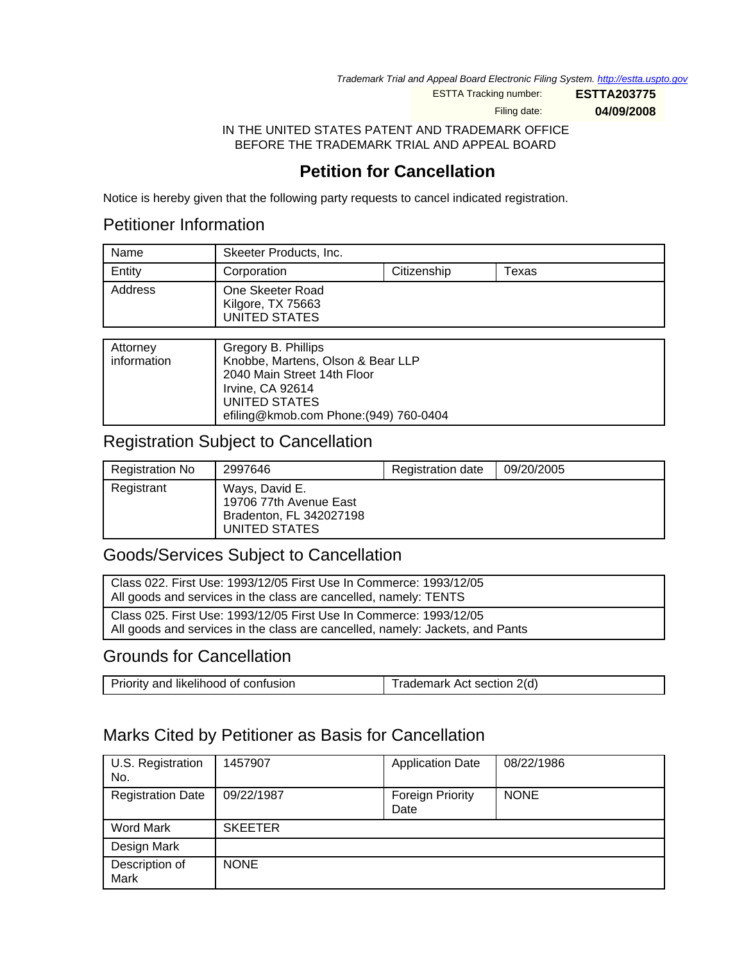Trademark Trial and Appeal Board Electronic Filing System. <http://estta.uspto.gov>

ESTTA Tracking number: **ESTTA203775**

Filing date: **04/09/2008**

IN THE UNITED STATES PATENT AND TRADEMARK OFFICE BEFORE THE TRADEMARK TRIAL AND APPEAL BOARD

# **Petition for Cancellation**

Notice is hereby given that the following party requests to cancel indicated registration.

# Petitioner Information

| Name    | Skeeter Products, Inc.                                 |             |       |
|---------|--------------------------------------------------------|-------------|-------|
| Entity  | Corporation                                            | Citizenship | Texas |
| Address | One Skeeter Road<br>Kilgore, TX 75663<br>UNITED STATES |             |       |

| Attorney<br>information | Gregory B. Phillips<br>Knobbe, Martens, Olson & Bear LLP<br>2040 Main Street 14th Floor<br>Irvine, CA 92614<br>UNITED STATES<br>efiling@kmob.com Phone: (949) 760-0404 |
|-------------------------|------------------------------------------------------------------------------------------------------------------------------------------------------------------------|
|                         |                                                                                                                                                                        |

### Registration Subject to Cancellation

| <b>Registration No</b> | 2997646                                                                              | Registration date | 09/20/2005 |
|------------------------|--------------------------------------------------------------------------------------|-------------------|------------|
| Registrant             | Ways, David E.<br>19706 77th Avenue East<br>Bradenton, FL 342027198<br>UNITED STATES |                   |            |

## Goods/Services Subject to Cancellation

| Class 022. First Use: 1993/12/05 First Use In Commerce: 1993/12/05<br>All goods and services in the class are cancelled, namely: TENTS              |
|-----------------------------------------------------------------------------------------------------------------------------------------------------|
| Class 025. First Use: 1993/12/05 First Use In Commerce: 1993/12/05<br>All goods and services in the class are cancelled, namely: Jackets, and Pants |

## Grounds for Cancellation

| Priority and likelihood of confusion | Trademark Act section 2(d) |
|--------------------------------------|----------------------------|
|--------------------------------------|----------------------------|

## Marks Cited by Petitioner as Basis for Cancellation

| U.S. Registration<br>No. | 1457907        | <b>Application Date</b>         | 08/22/1986  |
|--------------------------|----------------|---------------------------------|-------------|
| <b>Registration Date</b> | 09/22/1987     | <b>Foreign Priority</b><br>Date | <b>NONE</b> |
| Word Mark                | <b>SKEETER</b> |                                 |             |
| Design Mark              |                |                                 |             |
| Description of<br>Mark   | <b>NONE</b>    |                                 |             |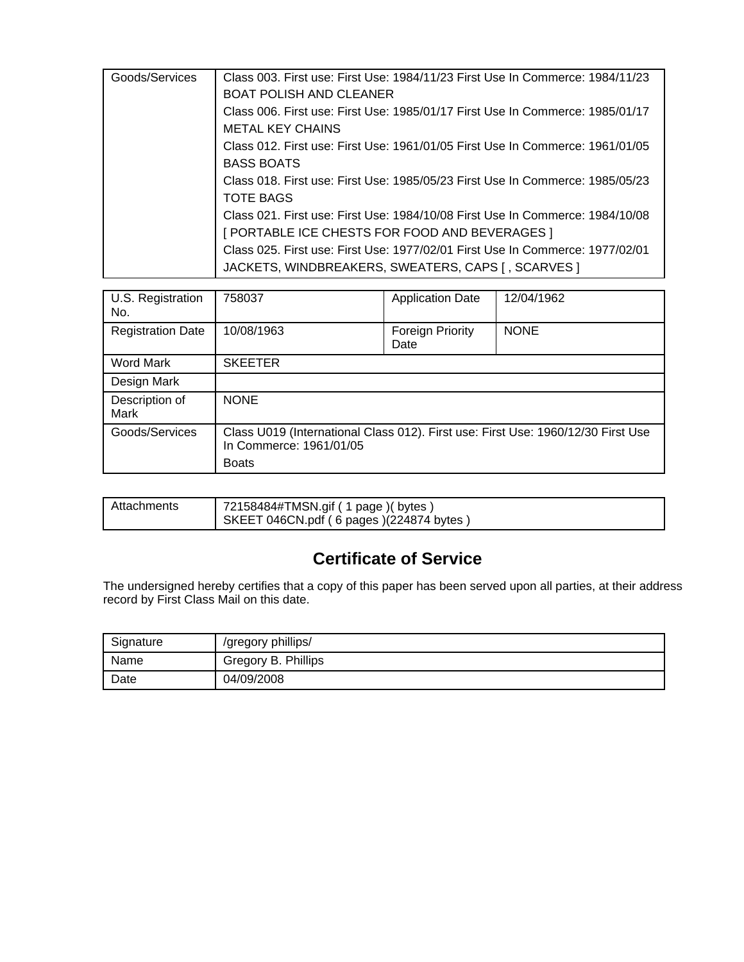| Goods/Services | Class 003. First use: First Use: 1984/11/23 First Use In Commerce: 1984/11/23 |
|----------------|-------------------------------------------------------------------------------|
|                | <b>BOAT POLISH AND CLEANER</b>                                                |
|                | Class 006. First use: First Use: 1985/01/17 First Use In Commerce: 1985/01/17 |
|                | <b>METAL KEY CHAINS</b>                                                       |
|                | Class 012. First use: First Use: 1961/01/05 First Use In Commerce: 1961/01/05 |
|                | <b>BASS BOATS</b>                                                             |
|                | Class 018. First use: First Use: 1985/05/23 First Use In Commerce: 1985/05/23 |
|                | <b>TOTE BAGS</b>                                                              |
|                | Class 021, First use: First Use: 1984/10/08 First Use In Commerce: 1984/10/08 |
|                | [ PORTABLE ICE CHESTS FOR FOOD AND BEVERAGES ]                                |
|                | Class 025. First use: First Use: 1977/02/01 First Use In Commerce: 1977/02/01 |
|                | JACKETS, WINDBREAKERS, SWEATERS, CAPS [, SCARVES ]                            |
|                |                                                                               |

| U.S. Registration<br>No. | 758037                                                                                                                      | <b>Application Date</b>  | 12/04/1962  |
|--------------------------|-----------------------------------------------------------------------------------------------------------------------------|--------------------------|-------------|
| <b>Registration Date</b> | 10/08/1963                                                                                                                  | Foreign Priority<br>Date | <b>NONE</b> |
| Word Mark                | <b>SKEETER</b>                                                                                                              |                          |             |
| Design Mark              |                                                                                                                             |                          |             |
| Description of<br>Mark   | <b>NONE</b>                                                                                                                 |                          |             |
| Goods/Services           | Class U019 (International Class 012). First use: First Use: 1960/12/30 First Use<br>In Commerce: 1961/01/05<br><b>Boats</b> |                          |             |

|  | Attachments | 72158484#TMSN.gif ( 1 page ) ( bytes )<br>SKEET 046CN.pdf (6 pages) (224874 bytes) |
|--|-------------|------------------------------------------------------------------------------------|
|--|-------------|------------------------------------------------------------------------------------|

# **Certificate of Service**

The undersigned hereby certifies that a copy of this paper has been served upon all parties, at their address record by First Class Mail on this date.

| Signature | /gregory phillips/  |
|-----------|---------------------|
| Name      | Gregory B. Phillips |
| Date      | 04/09/2008          |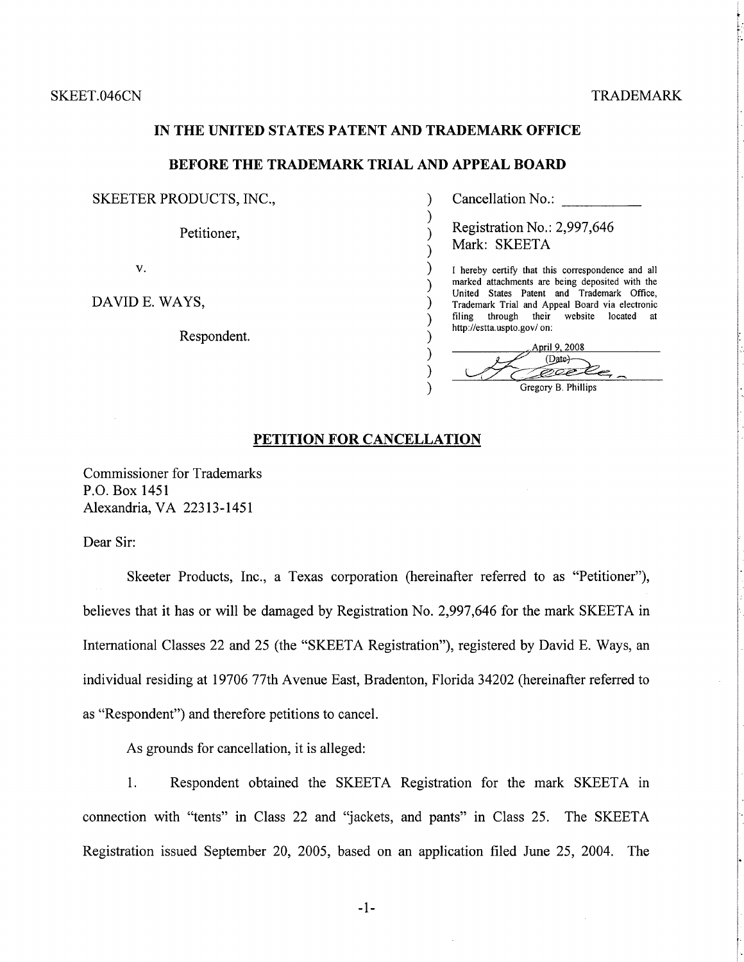### IN THE UNITED STATES PATENT AND TRADEMARK OFFICE

#### **BEFORE THE TRADEMARK TRIAL AND APPEAL BOARD**

).  $\mathcal{E}$ 

 $\lambda$ 

 $\lambda$ 

Υ

).

 $\lambda$ 

 $\lambda$ 

 $\lambda$ 

 $\lambda$ 

SKEETER PRODUCTS, INC.,

Petitioner,

 $V_{\star}$ 

DAVID E. WAYS,

Respondent.

Cancellation No.:

Registration No.: 2,997,646 Mark: SKEETA

I hereby certify that this correspondence and all marked attachments are being deposited with the United States Patent and Trademark Office, Trademark Trial and Appeal Board via electronic filing through their website located at http://estta.uspto.gov/ on:

April 9, 2008 (Date)eeet Gregory B. Phillips

### PETITION FOR CANCELLATION

**Commissioner for Trademarks** P.O. Box 1451 Alexandria, VA 22313-1451

Dear Sir:

Skeeter Products, Inc., a Texas corporation (hereinafter referred to as "Petitioner"), believes that it has or will be damaged by Registration No. 2,997,646 for the mark SKEETA in International Classes 22 and 25 (the "SKEETA Registration"), registered by David E. Ways, an individual residing at 19706 77th Avenue East, Bradenton, Florida 34202 (hereinafter referred to as "Respondent") and therefore petitions to cancel.

As grounds for cancellation, it is alleged:

Respondent obtained the SKEETA Registration for the mark SKEETA in 1. connection with "tents" in Class 22 and "jackets, and pants" in Class 25. The SKEETA Registration issued September 20, 2005, based on an application filed June 25, 2004. The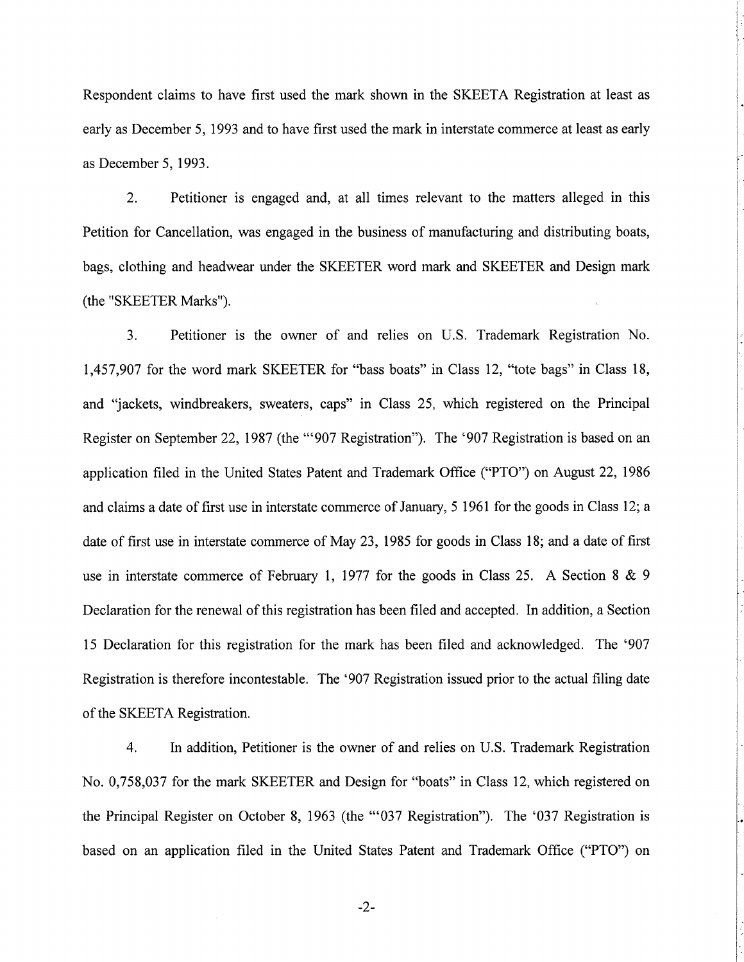Respondent claims to have first used the mark shown in the SKEETA Registration at least as early as December 5, 1993 and to have first used the mark in interstate commerce at least as early as December 5, 1993.

 $2<sub>1</sub>$ Petitioner is engaged and, at all times relevant to the matters alleged in this Petition for Cancellation, was engaged in the business of manufacturing and distributing boats, bags, clothing and headwear under the SKEETER word mark and SKEETER and Design mark (the "SKEETER Marks").

 $3<sub>1</sub>$ Petitioner is the owner of and relies on U.S. Trademark Registration No. 1,457,907 for the word mark SKEETER for "bass boats" in Class 12, "tote bags" in Class 18, and "jackets, windbreakers, sweaters, caps" in Class 25, which registered on the Principal Register on September 22, 1987 (the "'907 Registration"). The '907 Registration is based on an application filed in the United States Patent and Trademark Office ("PTO") on August 22, 1986 and claims a date of first use in interstate commerce of January, 5 1961 for the goods in Class 12; a date of first use in interstate commerce of May 23, 1985 for goods in Class 18; and a date of first use in interstate commerce of February 1, 1977 for the goods in Class 25. A Section 8 & 9 Declaration for the renewal of this registration has been filed and accepted. In addition, a Section 15 Declaration for this registration for the mark has been filed and acknowledged. The '907 Registration is therefore incontestable. The '907 Registration issued prior to the actual filing date of the SKEETA Registration.

4. In addition, Petitioner is the owner of and relies on U.S. Trademark Registration No. 0,758,037 for the mark SKEETER and Design for "boats" in Class 12, which registered on the Principal Register on October 8, 1963 (the "'037 Registration"). The '037 Registration is based on an application filed in the United States Patent and Trademark Office ("PTO") on

 $-2-$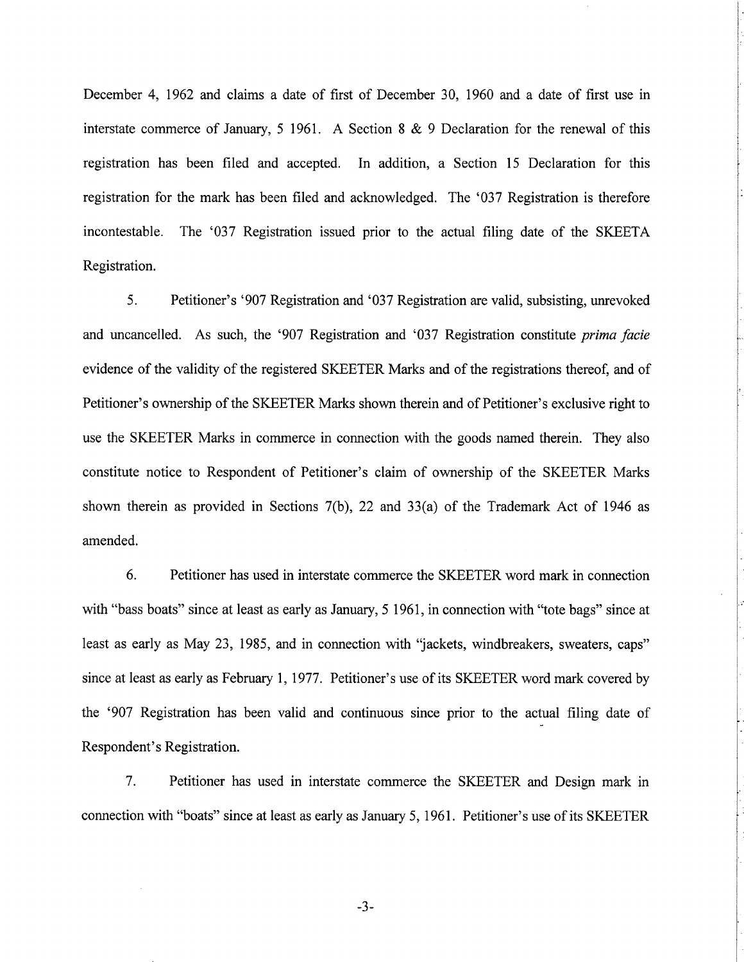December 4, 1962 and claims a date of first of December 30, 1960 and a date of first use in interstate commerce of January, 5 1961. A Section 8  $& 9$  Declaration for the renewal of this registration has been filed and accepted. In addition, a Section 15 Declaration for this registration for the mark has been filed and acknowledged. The '037 Registration is therefore The '037 Registration issued prior to the actual filing date of the SKEETA incontestable. Registration.

5. Petitioner's '907 Registration and '037 Registration are valid, subsisting, unrevoked and uncancelled. As such, the '907 Registration and '037 Registration constitute prima facie evidence of the validity of the registered SKEETER Marks and of the registrations thereof, and of Petitioner's ownership of the SKEETER Marks shown therein and of Petitioner's exclusive right to use the SKEETER Marks in commerce in connection with the goods named therein. They also constitute notice to Respondent of Petitioner's claim of ownership of the SKEETER Marks shown therein as provided in Sections  $7(b)$ , 22 and 33(a) of the Trademark Act of 1946 as amended.

6. Petitioner has used in interstate commerce the SKEETER word mark in connection with "bass boats" since at least as early as January, 5 1961, in connection with "tote bags" since at least as early as May 23, 1985, and in connection with "jackets, windbreakers, sweaters, caps" since at least as early as February 1, 1977. Petitioner's use of its SKEETER word mark covered by the '907 Registration has been valid and continuous since prior to the actual filing date of Respondent's Registration.

7. Petitioner has used in interstate commerce the SKEETER and Design mark in connection with "boats" since at least as early as January 5, 1961. Petitioner's use of its SKEETER

 $-3-$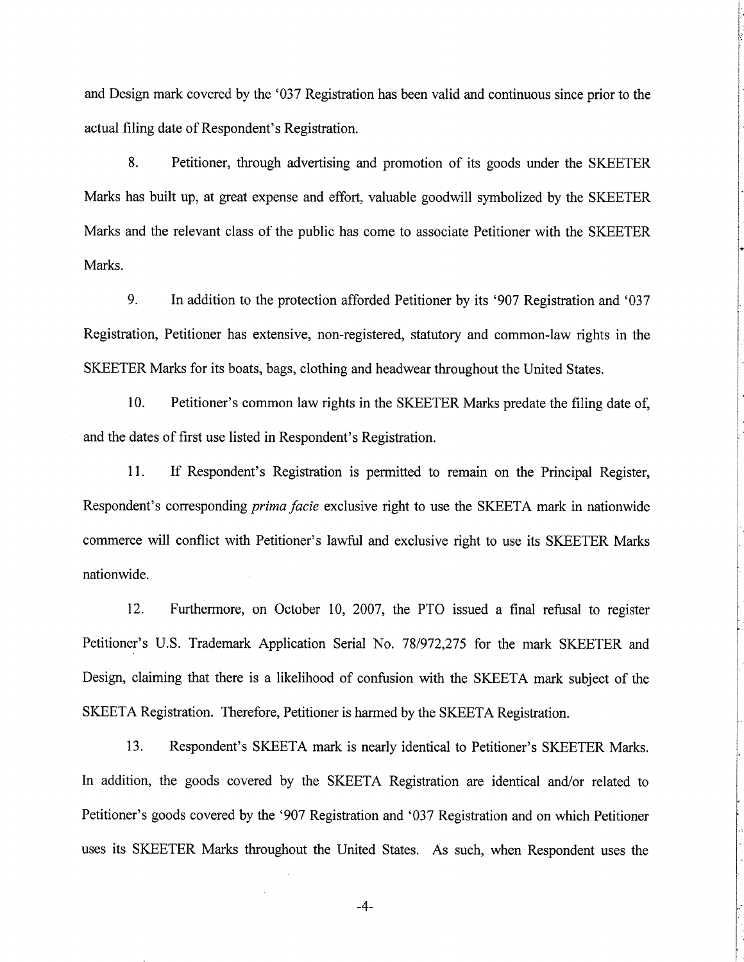and Design mark covered by the '037 Registration has been valid and continuous since prior to the actual filing date of Respondent's Registration.

8. Petitioner, through advertising and promotion of its goods under the SKEETER Marks has built up, at great expense and effort, valuable goodwill symbolized by the SKEETER Marks and the relevant class of the public has come to associate Petitioner with the SKEETER Marks.

9. In addition to the protection afforded Petitioner by its '907 Registration and '037 Registration, Petitioner has extensive, non-registered, statutory and common-law rights in the SKEETER Marks for its boats, bags, clothing and headwear throughout the United States.

10. Petitioner's common law rights in the SKEETER Marks predate the filing date of, and the dates of first use listed in Respondent's Registration.

11. If Respondent's Registration is permitted to remain on the Principal Register, Respondent's corresponding *prima facie* exclusive right to use the SKEETA mark in nationwide commerce will conflict with Petitioner's lawful and exclusive right to use its SKEETER Marks nationwide.

12. Furthermore, on October 10, 2007, the PTO issued a final refusal to register Petitioner's U.S. Trademark Application Serial No. 78/972,275 for the mark SKEETER and Design, claiming that there is a likelihood of confusion with the SKEETA mark subject of the SKEETA Registration. Therefore, Petitioner is harmed by the SKEETA Registration.

13. Respondent's SKEETA mark is nearly identical to Petitioner's SKEETER Marks. In addition, the goods covered by the SKEETA Registration are identical and/or related to Petitioner's goods covered by the '907 Registration and '037 Registration and on which Petitioner uses its SKEETER Marks throughout the United States. As such, when Respondent uses the

 $-4-$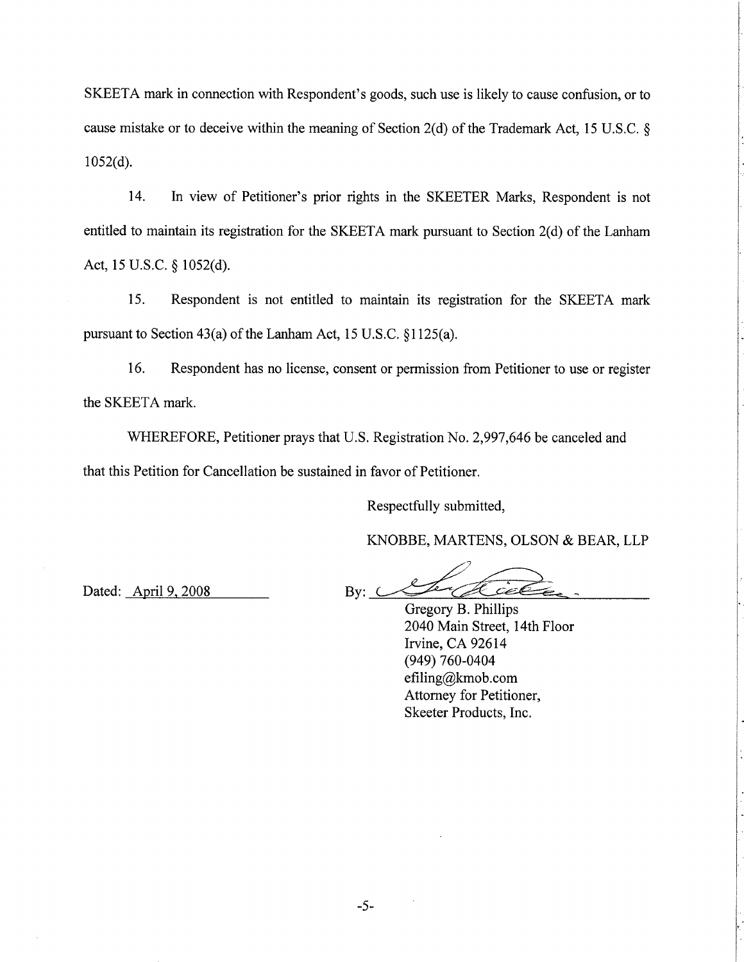SKEETA mark in connection with Respondent's goods, such use is likely to cause confusion, or to cause mistake or to deceive within the meaning of Section 2(d) of the Trademark Act, 15 U.S.C. §  $1052(d)$ .

14. In view of Petitioner's prior rights in the SKEETER Marks, Respondent is not entitled to maintain its registration for the SKEETA mark pursuant to Section 2(d) of the Lanham Act, 15 U.S.C. § 1052(d).

 $15.$ Respondent is not entitled to maintain its registration for the SKEETA mark pursuant to Section 43(a) of the Lanham Act, 15 U.S.C. §1125(a).

16. Respondent has no license, consent or permission from Petitioner to use or register the SKEETA mark.

WHEREFORE, Petitioner prays that U.S. Registration No. 2,997,646 be canceled and that this Petition for Cancellation be sustained in favor of Petitioner.

Respectfully submitted,

KNOBBE, MARTENS, OLSON & BEAR, LLP

Dated: April 9, 2008

 $Bv: C$ 

Gregory B. Phillips 2040 Main Street, 14th Floor Irvine, CA 92614 (949) 760-0404 efiling@kmob.com Attorney for Petitioner, Skeeter Products, Inc.